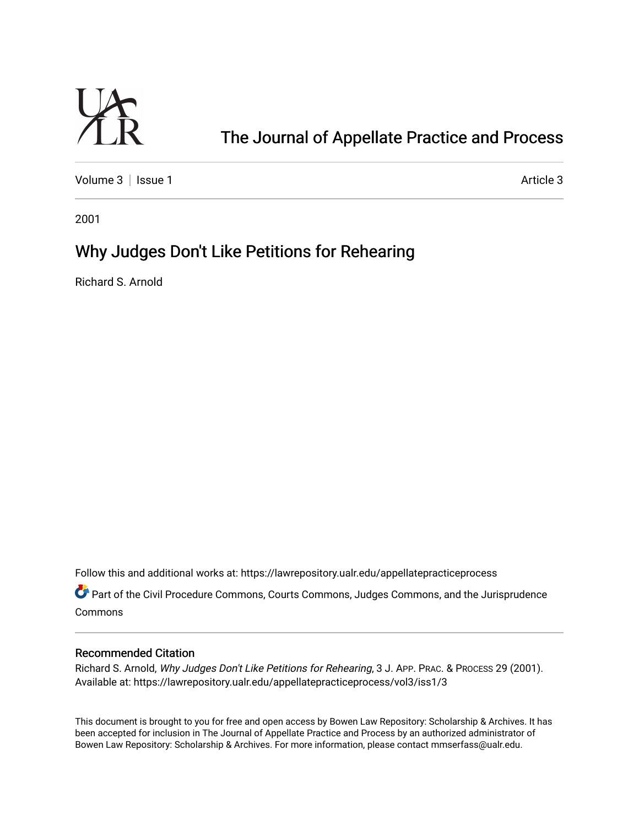

# [The Journal of Appellate Practice and Process](https://lawrepository.ualr.edu/appellatepracticeprocess)

[Volume 3](https://lawrepository.ualr.edu/appellatepracticeprocess/vol3) | [Issue 1](https://lawrepository.ualr.edu/appellatepracticeprocess/vol3/iss1) Article 3

2001

# Why Judges Don't Like Petitions for Rehearing

Richard S. Arnold

Follow this and additional works at: [https://lawrepository.ualr.edu/appellatepracticeprocess](https://lawrepository.ualr.edu/appellatepracticeprocess?utm_source=lawrepository.ualr.edu%2Fappellatepracticeprocess%2Fvol3%2Fiss1%2F3&utm_medium=PDF&utm_campaign=PDFCoverPages) 

Part of the [Civil Procedure Commons,](http://network.bepress.com/hgg/discipline/584?utm_source=lawrepository.ualr.edu%2Fappellatepracticeprocess%2Fvol3%2Fiss1%2F3&utm_medium=PDF&utm_campaign=PDFCoverPages) [Courts Commons](http://network.bepress.com/hgg/discipline/839?utm_source=lawrepository.ualr.edu%2Fappellatepracticeprocess%2Fvol3%2Fiss1%2F3&utm_medium=PDF&utm_campaign=PDFCoverPages), [Judges Commons](http://network.bepress.com/hgg/discipline/849?utm_source=lawrepository.ualr.edu%2Fappellatepracticeprocess%2Fvol3%2Fiss1%2F3&utm_medium=PDF&utm_campaign=PDFCoverPages), and the [Jurisprudence](http://network.bepress.com/hgg/discipline/610?utm_source=lawrepository.ualr.edu%2Fappellatepracticeprocess%2Fvol3%2Fiss1%2F3&utm_medium=PDF&utm_campaign=PDFCoverPages)  [Commons](http://network.bepress.com/hgg/discipline/610?utm_source=lawrepository.ualr.edu%2Fappellatepracticeprocess%2Fvol3%2Fiss1%2F3&utm_medium=PDF&utm_campaign=PDFCoverPages)

### Recommended Citation

Richard S. Arnold, Why Judges Don't Like Petitions for Rehearing, 3 J. APP. PRAC. & PROCESS 29 (2001). Available at: https://lawrepository.ualr.edu/appellatepracticeprocess/vol3/iss1/3

This document is brought to you for free and open access by [Bowen Law Repository: Scholarship & Archives.](macro%20site.link) It has been accepted for inclusion in The Journal of Appellate Practice and Process by an authorized administrator of Bowen Law Repository: Scholarship & Archives. For more information, please contact [mmserfass@ualr.edu.](mailto:mmserfass@ualr.edu)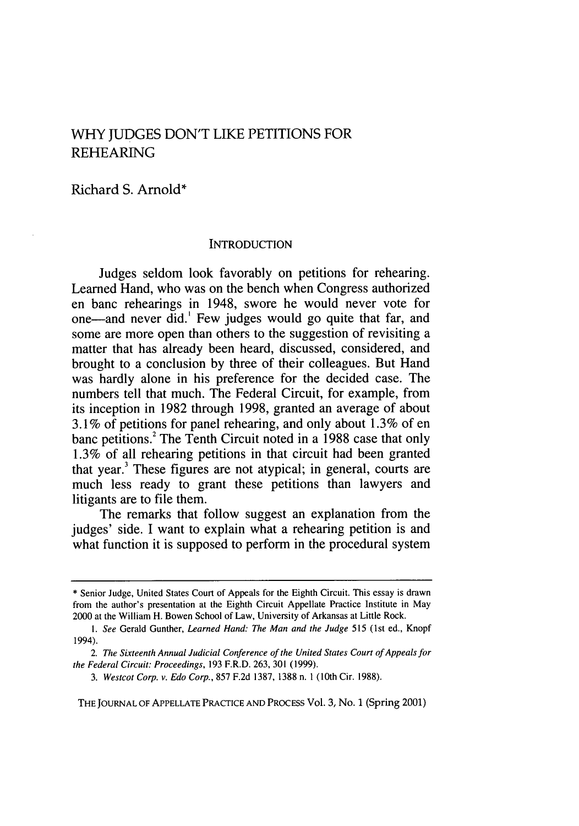# WHY JUDGES DON'T LIKE PETITIONS FOR REHEARING

Richard S. Arnold\*

#### **INTRODUCTION**

Judges seldom look favorably on petitions for rehearing. Learned Hand, who was on the bench when Congress authorized en banc rehearings in 1948, swore he would never vote for one-and never did.' Few judges would go quite that far, and some are more open than others to the suggestion of revisiting a matter that has already been heard, discussed, considered, and brought to a conclusion by three of their colleagues. But Hand was hardly alone in his preference for the decided case. The numbers tell that much. The Federal Circuit, for example, from its inception in 1982 through 1998, granted an average of about 3.1% of petitions for panel rehearing, and only about 1.3% of en banc petitions.<sup>2</sup> The Tenth Circuit noted in a 1988 case that only 1.3% of all rehearing petitions in that circuit had been granted that year.3 These figures are not atypical; in general, courts are much less ready to grant these petitions than lawyers and litigants are to file them.

The remarks that follow suggest an explanation from the judges' side. I want to explain what a rehearing petition is and what function it is supposed to perform in the procedural system

THE JOURNAL OF APPELLATE PRACTICE **AND** PROCESS Vol. 3, No. 1 (Spring 2001)

<sup>\*</sup> Senior Judge, United States Court of Appeals for the Eighth Circuit. This essay is drawn from the author's presentation at the Eighth Circuit Appellate Practice Institute in May 2000 at the William H. Bowen School of Law, University of Arkansas at Little Rock.

*<sup>1.</sup> See* Gerald Gunther, *Learned Hand: The Man and the Judge* 515 (1st ed., Knopf 1994).

*<sup>2.</sup> The Sixteenth Annual Judicial Conference of the United States Court of Appeals for the Federal Circuit: Proceedings,* 193 F.R.D. 263, 301 (1999).

*<sup>3.</sup> Westcot Corp. v. Edo Corp.,* 857 F.2d 1387, 1388 n. 1 (10th Cir. 1988).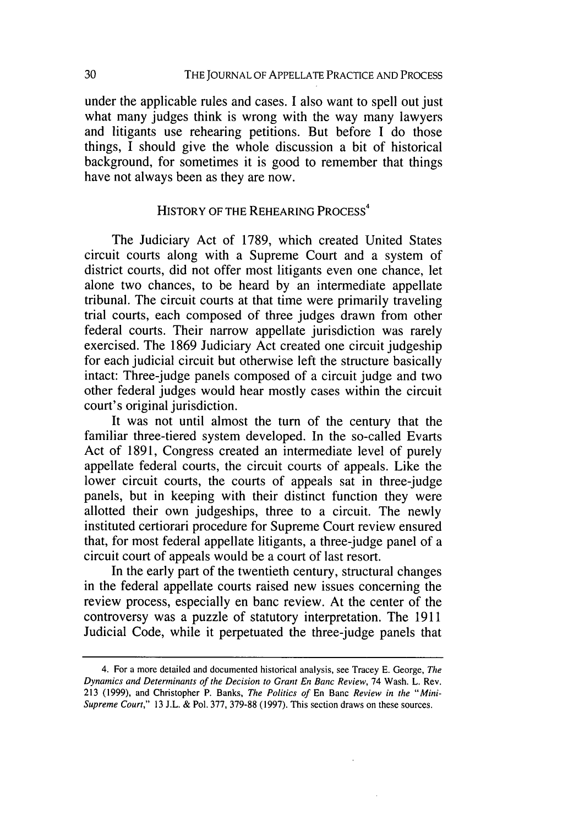under the applicable rules and cases. I also want to spell out just what many judges think is wrong with the way many lawyers and litigants use rehearing petitions. But before I do those things, I should give the whole discussion a bit of historical background, for sometimes it is good to remember that things have not always been as they are now.

## HISTORY OF THE REHEARING PROCESS<sup>4</sup>

The Judiciary Act of 1789, which created United States circuit courts along with a Supreme Court and a system of district courts, did not offer most litigants even one chance, let alone two chances, to be heard by an intermediate appellate tribunal. The circuit courts at that time were primarily traveling trial courts, each composed of three judges drawn from other federal courts. Their narrow appellate jurisdiction was rarely exercised. The 1869 Judiciary Act created one circuit judgeship for each judicial circuit but otherwise left the structure basically intact: Three-judge panels composed of a circuit judge and two other federal judges would hear mostly cases within the circuit court's original jurisdiction.

It was not until almost the turn of the century that the familiar three-tiered system developed. In the so-called Evarts Act of 1891, Congress created an intermediate level of purely appellate federal courts, the circuit courts of appeals. Like the lower circuit courts, the courts of appeals sat in three-judge panels, but in keeping with their distinct function they were allotted their own judgeships, three to a circuit. The newly instituted certiorari procedure for Supreme Court review ensured that, for most federal appellate litigants, a three-judge panel of a circuit court of appeals would be a court of last resort.

In the early part of the twentieth century, structural changes in the federal appellate courts raised new issues concerning the review process, especially en banc review. At the center of the controversy was a puzzle of statutory interpretation. The 1911 Judicial Code, while it perpetuated the three-judge panels that

<sup>4.</sup> For a more detailed and documented historical analysis, see Tracey **E.** George, The Dynamics and Determinants of the Decision to Grant En Banc Review, 74 Wash. L. Rev. 213 (1999), and Christopher P. Banks, The Politics of En Banc Review in the "Mini-Supreme Court," 13 J.L. & Pol. 377, 379-88 (1997). This section draws on these sources.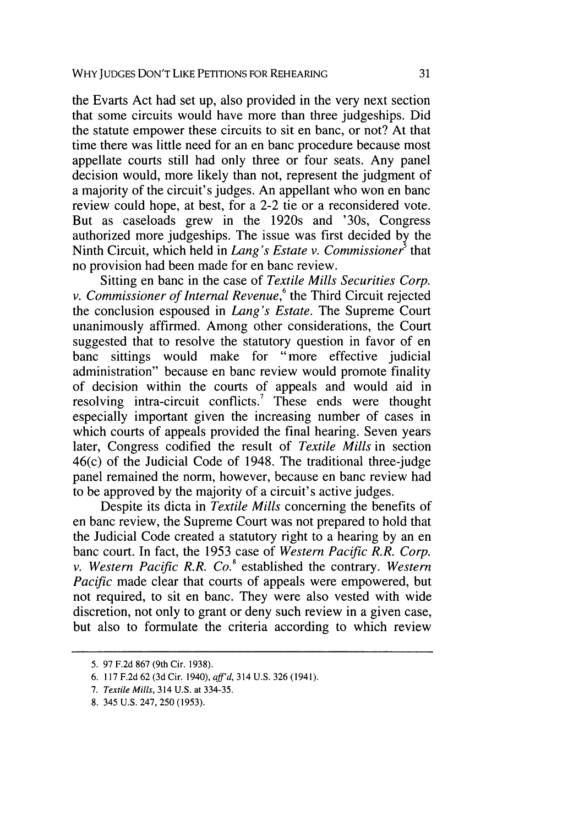the Evarts Act had set up, also provided in the very next section that some circuits would have more than three judgeships. Did the statute empower these circuits to sit en banc, or not? At that time there was little need for an en banc procedure because most appellate courts still had only three or four seats. Any panel decision would, more likely than not, represent the judgment of a majority of the circuit's judges. An appellant who won en banc review could hope, at best, for a 2-2 tie or a reconsidered vote. But as caseloads grew in the 1920s and '30s, Congress authorized more judgeships. The issue was first decided by the Ninth Circuit, which held in *Lang's Estate v. Commissioner'* that no provision had been made for en banc review.

Sitting en banc in the case of *Textile Mills Securities Corp. v. Commissioner of Internal Revenue*,<sup>6</sup> the Third Circuit rejected the conclusion espoused in *Lang's Estate.* The Supreme Court unanimously affirmed. Among other considerations, the Court suggested that to resolve the statutory question in favor of en banc sittings would make for "more effective judicial administration" because en banc review would promote finality of decision within the courts of appeals and would aid in resolving intra-circuit conflicts.<sup>7</sup> These ends were thought especially important given the increasing number of cases in which courts of appeals provided the final hearing. Seven years later, Congress codified the result of *Textile Mills* in section 46(c) of the Judicial Code of 1948. The traditional three-judge panel remained the norm, however, because en banc review had to be approved by the majority of a circuit's active judges.

Despite its dicta in *Textile Mills* concerning the benefits of en banc review, the Supreme Court was not prepared to hold that the Judicial Code created a statutory right to a hearing by an en banc court. In fact, the 1953 case of *Western Pacific R.R. Corp. v. Western Pacific R.R. Co.8* established the contrary. *Western Pacific* made clear that courts of appeals were empowered, but not required, to sit en banc. They were also vested with wide discretion, not only to grant or deny such review in a given case, but also to formulate the criteria according to which review

<sup>5. 97</sup> F.2d 867 (9th Cir. 1938).

<sup>6. 117</sup> F.2d 62 (3d Cir. 1940), *aff'd,* 314 **U.S.** 326 (1941).

*<sup>7.</sup> Textile Mills,* 314 U.S. at 334-35.

<sup>8. 345</sup> U.S. 247, 250 (1953).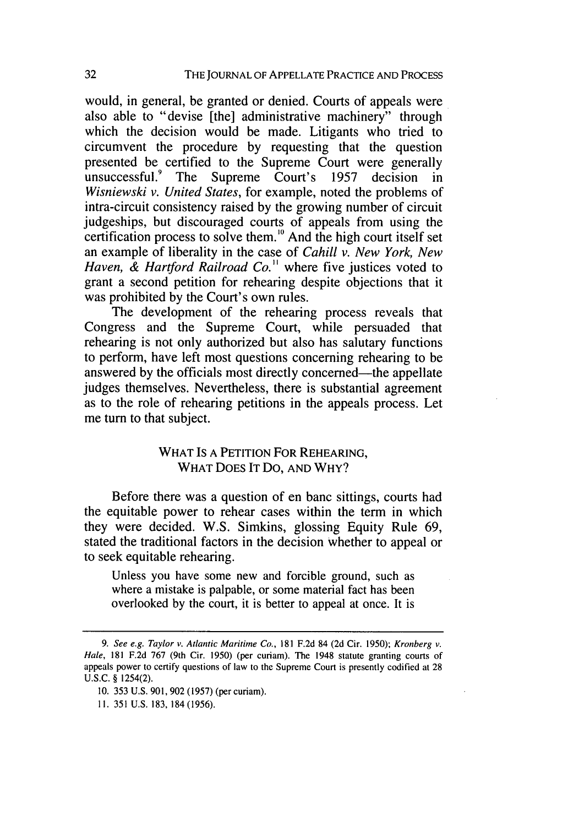would, in general, be granted or denied. Courts of appeals were also able to "devise [the] administrative machinery" through which the decision would be made. Litigants who tried to circumvent the procedure by requesting that the question presented be certified to the Supreme Court were generally unsuccessful.<sup>9</sup> The Supreme Court's 1957 decision in *Wisniewski v. United States,* for example, noted the problems of intra-circuit consistency raised by the growing number of circuit judgeships, but discouraged courts of appeals from using the certification process to solve them.<sup>10</sup> And the high court itself set an example of liberality in the case of *Cahill v. New York, New Haven, & Hartford Railroad Co.* ' where five justices voted to grant a second petition for rehearing despite objections that it was prohibited by the Court's own rules.

The development of the rehearing process reveals that Congress and the Supreme Court, while persuaded that rehearing is not only authorized but also has salutary functions to perform, have left most questions concerning rehearing to be answered by the officials most directly concerned—the appellate judges themselves. Nevertheless, there is substantial agreement as to the role of rehearing petitions in the appeals process. Let me turn to that subject.

### WHAT IS A PETITION FOR REHEARING, WHAT DOES IT Do, AND WHY?

Before there was a question of en banc sittings, courts had the equitable power to rehear cases within the term in which they were decided. W.S. Simkins, glossing Equity Rule 69, stated the traditional factors in the decision whether to appeal or to seek equitable rehearing.

Unless you have some new and forcible ground, such as where a mistake is palpable, or some material fact has been overlooked by the court, it is better to appeal at once. It is

*<sup>9.</sup> See e.g. Taylor v. Atlantic Maritime Co.,* 181 F.2d 84 (2d Cir. 1950); *Kronberg v. Hale,* 181 F.2d 767 (9th Cir. 1950) (per curiam). The 1948 statute granting courts of appeals power to certify questions of law to the Supreme Court is presently codified at 28 U.S.C. § 1254(2).

**<sup>10.</sup>** 353 U.S. 901,902 (1957) (per curiam).

**<sup>11.</sup>** 351 U.S. 183, 184(1956).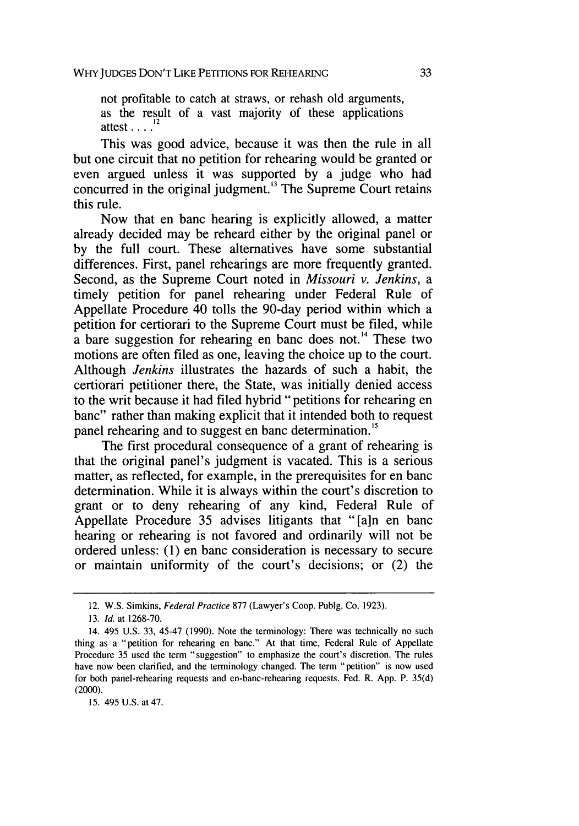not profitable to catch at straws, or rehash old arguments, as the result of a vast majority of these applications attest **....**

This was good advice, because it was then the rule in all but one circuit that no petition for rehearing would be granted or even argued unless it was supported by a judge who had concurred in the original judgment. $13$  The Supreme Court retains this rule.

Now that en banc hearing is explicitly allowed, a matter already decided may be reheard either by the original panel or by the full court. These alternatives have some substantial differences. First, panel rehearings are more frequently granted. Second, as the Supreme Court noted in *Missouri v. Jenkins, a* timely petition for panel rehearing under Federal Rule of Appellate Procedure 40 tolls the 90-day period within which a petition for certiorari to the Supreme Court must be filed, while a bare suggestion for rehearing en banc does not.<sup>14</sup> These two motions are often filed as one, leaving the choice up to the court. Although *Jenkins* illustrates the hazards of such a habit, the certiorari petitioner there, the State, was initially denied access to the writ because it had filed hybrid "petitions for rehearing en banc" rather than making explicit that it intended both to request panel rehearing and to suggest en banc determination.<sup>15</sup>

The first procedural consequence of a grant of rehearing is that the original panel's judgment is vacated. This is a serious matter, as reflected, for example, in the prerequisites for en banc determination. While it is always within the court's discretion to grant or to deny rehearing of any kind, Federal Rule of Appellate Procedure 35 advises litigants that "[a]n en banc hearing or rehearing is not favored and ordinarily will not be ordered unless: (1) en banc consideration is necessary to secure or maintain uniformity of the court's decisions; or (2) the

**15.** 495 U.S. at 47.

<sup>12.</sup> W.S. Simkins, Federal Practice 877 (Lawyer's Coop. Publg. Co. 1923).

<sup>13.</sup> *Id.* at 1268-70.

<sup>14. 495</sup> U.S. 33, 45-47 (1990). Note the terminology: There was technically no such thing as a "petition for rehearing en banc." At that time, Federal Rule of Appellate Procedure 35 used the term "suggestion" to emphasize the court's discretion. The rules have now been clarified, and the terminology changed. The term "petition" is now used for both panel-rehearing requests and en-banc-rehearing requests. Fed. R. App. P. 35(d) (2000).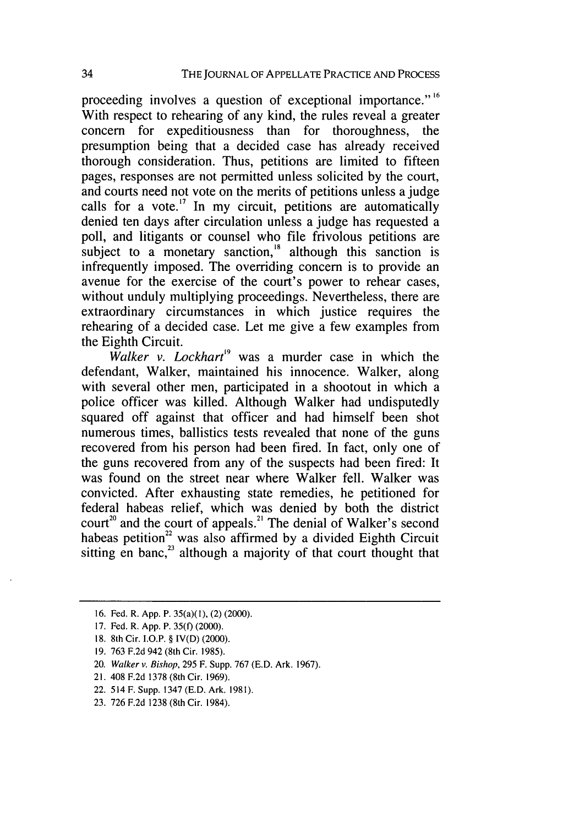proceeding involves a question of exceptional importance." **<sup>16</sup>** With respect to rehearing of any kind, the rules reveal a greater concern for expeditiousness than for thoroughness, the presumption being that a decided case has already received thorough consideration. Thus, petitions are limited to fifteen pages, responses are not permitted unless solicited by the court, and courts need not vote on the merits of petitions unless a judge calls for a vote.<sup>17</sup> In my circuit, petitions are automatically denied ten days after circulation unless a judge has requested a poll, and litigants or counsel who file frivolous petitions are subject to a monetary sanction, $\frac{18}{18}$  although this sanction is infrequently imposed. The overriding concern is to provide an avenue for the exercise of the court's power to rehear cases, without unduly multiplying proceedings. Nevertheless, there are extraordinary circumstances in which justice requires the rehearing of a decided case. Let me give a few examples from the Eighth Circuit.

*Walker v. Lockhart*<sup>19</sup> was a murder case in which the defendant, Walker, maintained his innocence. Walker, along with several other men, participated in a shootout in which a police officer was killed. Although Walker had undisputedly squared off against that officer and had himself been shot numerous times, ballistics tests revealed that none of the guns recovered from his person had been fired. In fact, only one of the guns recovered from any of the suspects had been fired: It was found on the street near where Walker fell. Walker was convicted. After exhausting state remedies, he petitioned for federal habeas relief, which was denied by both the district court<sup>20</sup> and the court of appeals.<sup>21</sup> The denial of Walker's second habeas petition<sup>22</sup> was also affirmed by a divided Eighth Circuit sitting en banc,<sup>23</sup> although a majority of that court thought that

- 17. Fed. R. App. P. 35(f) (2000).
- **18.** 8th Cir. I.O.P. § IV(D) (2000).
- 19. 763 F.2d 942 (8th Cir. 1985).
- 20. Walker v. Bishop, 295 F. Supp. 767 (E.D. Ark. 1967).
- 21. 408 F.2d 1378 (8th Cir. 1969).
- 22. 514 F. Supp. 1347 (E.D. Ark. 1981).
- 23. 726 F.2d 1238 (8th Cir. 1984).

<sup>16.</sup> Fed. R. App. P. 35(a)(1), (2) (2000).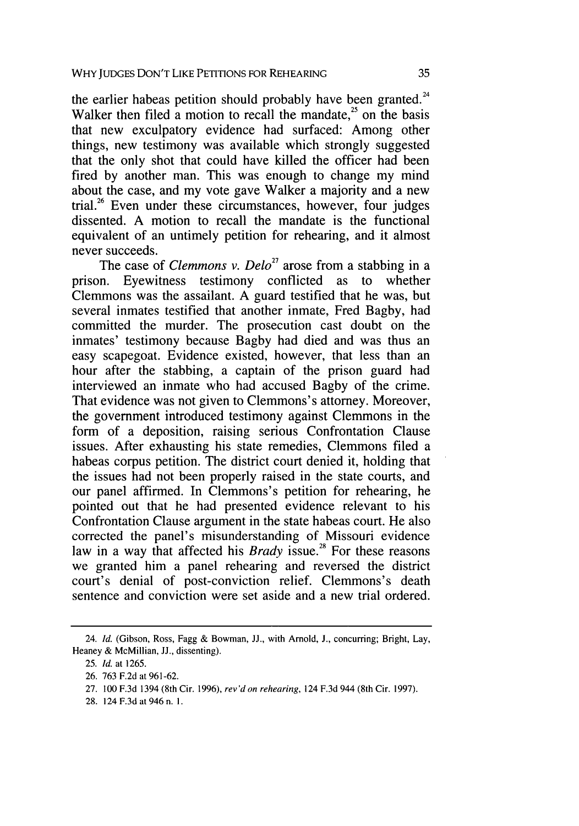the earlier habeas petition should probably have been granted.<sup>24</sup> Walker then filed a motion to recall the mandate, $^{25}$  on the basis that new exculpatory evidence had surfaced: Among other things, new testimony was available which strongly suggested that the only shot that could have killed the officer had been fired by another man. This was enough to change my mind about the case, and my vote gave Walker a majority and a new trial.<sup>26</sup> Even under these circumstances, however, four judges dissented. A motion to recall the mandate is the functional equivalent of an untimely petition for rehearing, and it almost never succeeds.

The case of *Clemmons v. Delo*<sup>27</sup> arose from a stabbing in a prison. Eyewitness testimony conflicted as to whether Clemmons was the assailant. A guard testified that he was, but several inmates testified that another inmate, Fred Bagby, had committed the murder. The prosecution cast doubt on the inmates' testimony because Bagby had died and was thus an easy scapegoat. Evidence existed, however, that less than an hour after the stabbing, a captain of the prison guard had interviewed an inmate who had accused Bagby of the crime. That evidence was not given to Clemmons's attorney. Moreover, the government introduced testimony against Clemmons in the form of a deposition, raising serious Confrontation Clause issues. After exhausting his state remedies, Clemmons filed a habeas corpus petition. The district court denied it, holding that the issues had not been properly raised in the state courts, and our panel affirmed. In Clemmons's petition for rehearing, he pointed out that he had presented evidence relevant to his Confrontation Clause argument in the state habeas court. He also corrected the panel's misunderstanding of Missouri evidence law in a way that affected his *Brady* issue.<sup>28</sup> For these reasons we granted him a panel rehearing and reversed the district court's denial of post-conviction relief. Clemmons's death sentence and conviction were set aside and a new trial ordered.

<sup>24.</sup> *Id.* (Gibson, Ross, Fagg & Bowman, JJ., with Arnold, J., concurring; Bright, Lay, Heaney & McMillian, JJ., dissenting).

<sup>25.</sup> *Id.* at 1265.

<sup>26. 763</sup> F.2d at 961-62.

<sup>27. 100</sup> F.3d 1394 (8th Cir. 1996), rev'don rehearing, 124 F.3d 944 (8th Cir. 1997).

<sup>28. 124</sup> F.3d at 946 n. 1.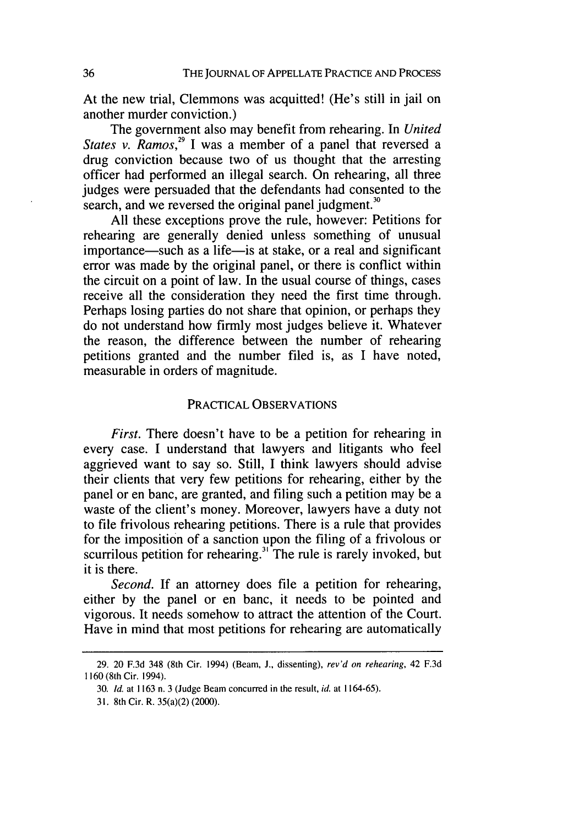At the new trial, Clemmons was acquitted! (He's still in jail on another murder conviction.)

The government also may benefit from rehearing. In *United States v. Ramos,"* I was a member of a panel that reversed a drug conviction because two of us thought that the arresting officer had performed an illegal search. On rehearing, all three judges were persuaded that the defendants had consented to the search, and we reversed the original panel judgment.<sup>30</sup>

All these exceptions prove the rule, however: Petitions for rehearing are generally denied unless something of unusual importance—such as a life—is at stake, or a real and significant error was made by the original panel, or there is conflict within the circuit on a point of law. In the usual course of things, cases receive all the consideration they need the first time through. Perhaps losing parties do not share that opinion, or perhaps they do not understand how firmly most judges believe it. Whatever the reason, the difference between the number of rehearing petitions granted and the number filed is, as I have noted, measurable in orders of magnitude.

#### PRACTICAL OBSERVATIONS

*First.* There doesn't have to be a petition for rehearing in every case. I understand that lawyers and litigants who feel aggrieved want to say so. Still, I think lawyers should advise their clients that very few petitions for rehearing, either by the panel or en banc, are granted, and filing such a petition may be a waste of the client's money. Moreover, lawyers have a duty not to file frivolous rehearing petitions. There is a rule that provides for the imposition of a sanction upon the filing of a frivolous or scurrilous petition for rehearing.<sup>31</sup> The rule is rarely invoked, but it is there.

*Second.* If an attorney does file a petition for rehearing, either by the panel or en banc, it needs to be pointed and vigorous. It needs somehow to attract the attention of the Court. Have in mind that most petitions for rehearing are automatically

<sup>29. 20</sup> F.3d 348 (8th Cir. 1994) (Beam, **J.,** dissenting), *rev'd on rehearing,* 42 F.3d 1160 (8th Cir. 1994).

<sup>30.</sup> *Id.* at 1163 n. 3 (Judge Beam concurred in the result, *id.* at 1164-65).

<sup>31. 8</sup>th Cir. R. 35(a)(2) (2000).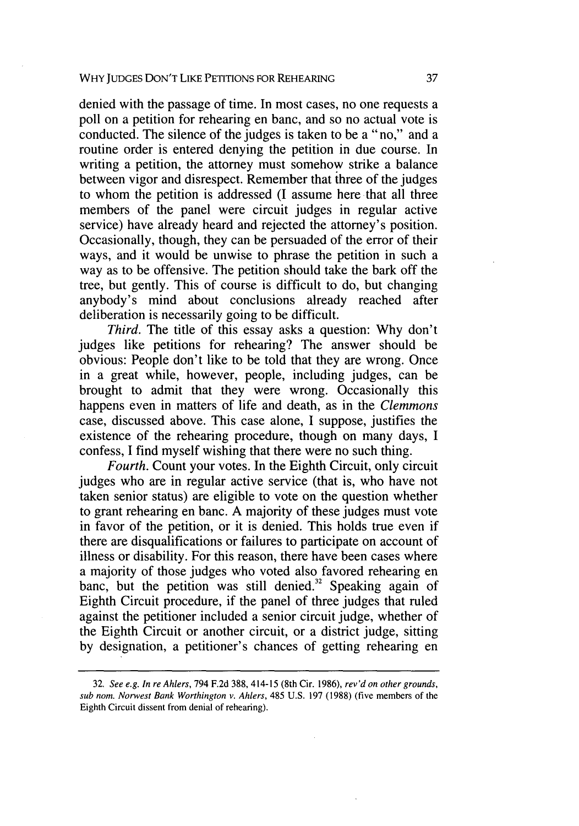denied with the passage of time. In most cases, no one requests a poll on a petition for rehearing en banc, and so no actual vote is conducted. The silence of the judges is taken to be a "no," and a routine order is entered denying the petition in due course. In writing a petition, the attorney must somehow strike a balance between vigor and disrespect. Remember that three of the judges to whom the petition is addressed (I assume here that all three members of the panel were circuit judges in regular active service) have already heard and rejected the attorney's position. Occasionally, though, they can be persuaded of the error of their ways, and it would be unwise to phrase the petition in such a way as to be offensive. The petition should take the bark off the tree, but gently. This of course is difficult to do, but changing anybody's mind about conclusions already reached after deliberation is necessarily going to be difficult.

*Third.* The title of this essay asks a question: Why don't judges like petitions for rehearing? The answer should be obvious: People don't like to be told that they are wrong. Once in a great while, however, people, including judges, can be brought to admit that they were wrong. Occasionally this happens even in matters of life and death, as in the *Clemmons* case, discussed above. This case alone, I suppose, justifies the existence of the rehearing procedure, though on many days, I confess, I find myself wishing that there were no such thing.

*Fourth.* Count your votes. In the Eighth Circuit, only circuit judges who are in regular active service (that is, who have not taken senior status) are eligible to vote on the question whether to grant rehearing en banc. A majority of these judges must vote in favor of the petition, or it is denied. This holds true even if there are disqualifications or failures to participate on account of illness or disability. For this reason, there have been cases where a majority of those judges who voted also favored rehearing en banc, but the petition was still denied.<sup>32</sup> Speaking again of Eighth Circuit procedure, if the panel of three judges that ruled against the petitioner included a senior circuit judge, whether of the Eighth Circuit or another circuit, or a district judge, sitting by designation, a petitioner's chances of getting rehearing en

<sup>32.</sup> See e.g. *In reAhlers,* 794 F.2d 388, 414-15 (8th Cir. 1986), *rev'd on other grounds, sub norn.* Norwest Bank *Worthington v. Ahlers,* 485 U.S. 197 (1988) (five members of the Eighth Circuit dissent from denial of rehearing).